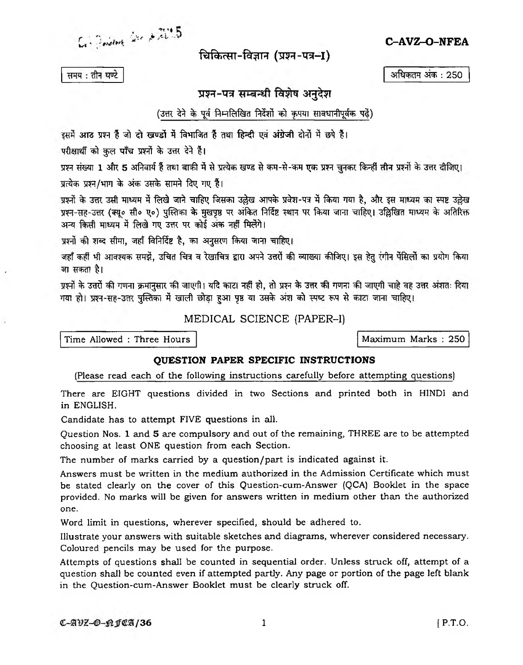$C$  dividend with  $2.725$ 

चिकित्सा-विज्ञान (प्रश्न-पत्र-I)

समय: तीन घण्टे

## प्रश्न-पत्र सम्बन्धी विशेष अनुदेश

## (उत्तर देने के पूर्व निम्नलिखित निर्देशों को कृपया सावधानीपूर्वक पढें)

इसमें आठ प्रश्न हैं जो दो खण्डों में विभाजित हैं तथा हिन्दी एवं अंग्रेजी दोनों में छपे हैं।

परीक्षार्थी को कुल पाँच प्रश्नों के उत्तर देने हैं।

प्रश्न संख्या 1 और 5 अनिवार्य हैं तथा बाकी में से प्रत्येक खण्ड से कम-से-कम एक प्रश्न चुनकर किन्हीं तीन प्रश्नों के उत्तर दीजिए।

प्रत्येक प्रश्न/भाग के अंक उसके सामने दिए गए हैं।

प्रश्नों के उत्तर उसी माध्यम में लिखे जाने चाहिए जिसका उल्लेख आपके प्रवेश-पत्र में किया गया है, और इस माध्यम का स्पष्ट उल्लेख प्रश्न-सह-उत्तर (क्यू॰ सी॰ ए॰) पुस्तिका के मुखपृष्ठ पर अंकित निर्दिष्ट स्थान पर किया जाना चाहिए। उल्लिखित माध्यम के अतिरिक्त अन्य किसी माध्यम में लिखे गए उत्तर पर कोई अंक नहीं मिलेंगे।

प्रश्नों की शब्द सीमा, जहाँ विनिर्दिष्ट है, का अनुसरण किया जाना चाहिए।

जहाँ कहीं भी आवश्यक समझें, उचित चित्र व रेखाचित्र द्वारा अपने उत्तरों की व्याख्या कीजिए। इस हेतु रंगीन पेंसिलों का प्रयोग किया जा सकता है।

प्रश्नों के उत्तरों की गणना क्रमानसार की जाएगी। यदि काटा नहीं हो, तो प्रश्न के उत्तर की गणना की जाएगी चाहे वह उत्तर अंशतः दिया गया हो। प्रश्न-सह-उत्तर पुस्तिका में खाली छोड़ा हुआ पृष्ठ या उसके अंश को स्पष्ट रूप से काटा जाना चाहिए।

MEDICAL SCIENCE (PAPER-I)

Time Allowed : Three Hours

Maximum Marks: 250

## QUESTION PAPER SPECIFIC INSTRUCTIONS

(Please read each of the following instructions carefully before attempting questions)

There are EIGHT questions divided in two Sections and printed both in HINDI and in ENGLISH.

Candidate has to attempt FIVE questions in all.

Question Nos. 1 and 5 are compulsory and out of the remaining, THREE are to be attempted choosing at least ONE question from each Section.

The number of marks carried by a question/part is indicated against it.

Answers must be written in the medium authorized in the Admission Certificate which must be stated clearly on the cover of this Question-cum-Answer (QCA) Booklet in the space provided. No marks will be given for answers written in medium other than the authorized one.

Word limit in questions, wherever specified, should be adhered to.

Illustrate your answers with suitable sketches and diagrams, wherever considered necessary. Coloured pencils may be used for the purpose.

Attempts of questions shall be counted in sequential order. Unless struck off, attempt of a question shall be counted even if attempted partly. Any page or portion of the page left blank in the Question-cum-Answer Booklet must be clearly struck off.

 $\mathbf{1}$ 

C-AVZ-O-NFEA

अधिकतम अंक : 250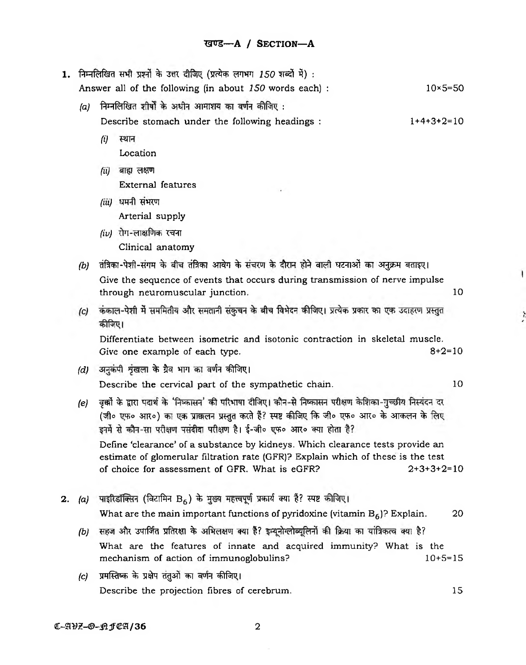| 1. | निम्नलिखित सभी प्रश्नों के उत्तर दीजिए (प्रत्येक लगभग 150 शब्दों में) : |                                                                                                                                                                                                                      |              |  |  |  |  |
|----|-------------------------------------------------------------------------|----------------------------------------------------------------------------------------------------------------------------------------------------------------------------------------------------------------------|--------------|--|--|--|--|
|    |                                                                         | Answer all of the following (in about 150 words each) :<br>$10\times 5 = 50$                                                                                                                                         |              |  |  |  |  |
|    | (a)                                                                     | निम्नलिखित शीर्षों के अधीन आमाशय का वर्णन कीजिए :                                                                                                                                                                    |              |  |  |  |  |
|    |                                                                         | $1+4+3+2=10$<br>Describe stomach under the following headings :                                                                                                                                                      |              |  |  |  |  |
|    |                                                                         | स्थान<br>$\left( i\right)$                                                                                                                                                                                           |              |  |  |  |  |
|    |                                                                         | Location                                                                                                                                                                                                             |              |  |  |  |  |
|    |                                                                         | बाह्य लक्षण<br>(ii)                                                                                                                                                                                                  |              |  |  |  |  |
|    |                                                                         | External features                                                                                                                                                                                                    |              |  |  |  |  |
|    |                                                                         | (iii) धमनी संभरण                                                                                                                                                                                                     |              |  |  |  |  |
|    |                                                                         | Arterial supply                                                                                                                                                                                                      |              |  |  |  |  |
|    |                                                                         | $(iv)$ रोग-लाक्षणिक रचना                                                                                                                                                                                             |              |  |  |  |  |
|    |                                                                         | Clinical anatomy                                                                                                                                                                                                     |              |  |  |  |  |
|    | (b)                                                                     | तंत्रिका-पेशी-संगम के बीच तंत्रिका आवेग के संचरण के दौरान होने वाली घटनाओं का अनुक्रम बताइए।                                                                                                                         |              |  |  |  |  |
|    |                                                                         | Give the sequence of events that occurs during transmission of nerve impulse<br>through neuromuscular junction.                                                                                                      | 10           |  |  |  |  |
|    | (c)                                                                     | कंकाल-पेशी में सममितीय और समतानी संकुचन के बीच विभेदन कीजिए। प्रत्येक प्रकार का एक उदाहरण प्रस्तुत<br>कीजिए।                                                                                                         |              |  |  |  |  |
|    |                                                                         | Differentiate between isometric and isotonic contraction in skeletal muscle.<br>Give one example of each type.                                                                                                       | $8+2=10$     |  |  |  |  |
|    | (d)                                                                     | अनुकंपी शृंखला के ग्रैव भाग का वर्णन कीजिए।                                                                                                                                                                          |              |  |  |  |  |
|    |                                                                         | Describe the cervical part of the sympathetic chain.                                                                                                                                                                 | 10           |  |  |  |  |
|    | (e)                                                                     | वृक्कों के द्वारा पदार्थ के 'निष्कासन' की परिभाषा दीजिए। कौन-से निष्कासन परीक्षण केशिका-गुच्छीय निस्यंदन दर<br>(जी० एफ० आर०) का एक प्राक्कलन प्रस्तुत करते हैं? स्पष्ट कीजिए कि जी० एफ० आर० के आकलन के लिए           |              |  |  |  |  |
|    |                                                                         | Define 'clearance' of a substance by kidneys. Which clearance tests provide an<br>estimate of glomerular filtration rate (GFR)? Explain which of these is the test<br>of choice for assessment of GFR. What is eGFR? | $2+3+3+2=10$ |  |  |  |  |
| 2. | (a)                                                                     | पाइरिडॉक्सिन (विटामिन B <sub>6</sub> ) के मुख्य महत्त्वपूर्ण प्रकार्य क्या है? स्पष्ट कीजिए।                                                                                                                         |              |  |  |  |  |
|    |                                                                         | What are the main important functions of pyridoxine (vitamin $B_6$ )? Explain.                                                                                                                                       | 20           |  |  |  |  |
|    | (b)                                                                     | सहज और उपार्जित प्रतिरक्षा के अभिलक्षण क्या है? इम्यूनोग्लोब्यूलिनों की क्रिया का यांत्रिकत्व क्या है?                                                                                                               |              |  |  |  |  |
|    |                                                                         | What are the features of innate and acquired immunity? What is the<br>mechanism of action of immunoglobulins?                                                                                                        | $10+5=15$    |  |  |  |  |
|    | (c)                                                                     | प्रमस्तिष्क के प्रक्षेप तंतुओं का वर्णन कीजिए।                                                                                                                                                                       |              |  |  |  |  |
|    |                                                                         | Describe the projection fibres of cerebrum.                                                                                                                                                                          | 15           |  |  |  |  |

 $\mathbf{I}$ 

 $\ddot{\cdot}$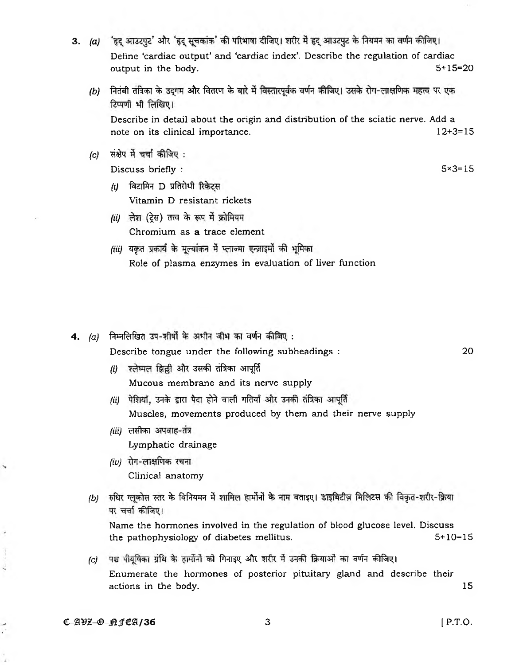- 3. (a) 'हृद् आउटपुट' और 'हृद् सूचकांक' की परिभाषा दीजिए। शरीर में हृद् आउटपुट के नियमन का वर्णन कीजिए। Define 'cardiac output' and 'cardiac index'. Describe the regulation of cardiac output in the body. 5+15=20
	- (b) नितंबी तंत्रिका के उद्गम और वितरण के बारे में विस्तारपूर्वक वर्णन कीजिए। उसके रोग-लाक्षणिक महत्त्व पर एक टिप्पणी भी लिखिए।

Describe in detail about the origin and distribution of the sciatic nerve. Add a note on its clinical importance. 12+3=15

*(c)* संक्षेप में चर्चा कीजिए :

 $Discuss briefly:$   $5\times3=15$ 

- *(i)* विटामिन D प्रतिरोधी रिकेटस Vitamin D resistant rickets
- *(ii)* लेश (ट्रेस) तत्त्व के रूप में क्रोमियम Chromium as a trace element
- *(iii)* यकुत प्रकार्य के मूल्यांकन में प्लाज्मा एन्ज़ाइमों की भूमिका Role of plasma enzymes in evaluation of liver function
- 4. (a) निम्नलिखित उप-शीर्षों के अधीन जीभ का वर्णन कीजिए :

Describe tongue under the following subheadings : 20

- *(i)* श्लेष्मल झिल्ली और उसकी तंत्रिका आपूर्ति Mucous membrane and its nerve supply
- *(ii)* पेशियाँ, उनके द्वारा पैदा होने वाली गतियाँ और उनकी तंत्रिका आपूर्ति Muscles, movements produced by them and their nerve supply
- *(iii)* लसीका अपवाह-तंत्र Lymphatic drainage
- *(iv)* Clinical anatomy
- *(b)* रुधिर ग्लूकोस स्तर के विनियमन में शामिल हार्मोनों के नाम बताइए। डाइबिटीज़ मिलिटस की विकृत-शरीर-क्रिया पर चर्चा कीजिए।

Name the hormones involved in the regulation of blood glucose level. Discuss the pathophysiology of diabetes mellitus. 5+10=15

*(c)* पश्च पीयूषिका ग्रंथि के हार्मोनों को गिनाइए और शरीर में उनकी क्रियाओं का वर्णन कीजिए। Enumerate the hormones of posterior pituitary gland and describe their actions in the body. 15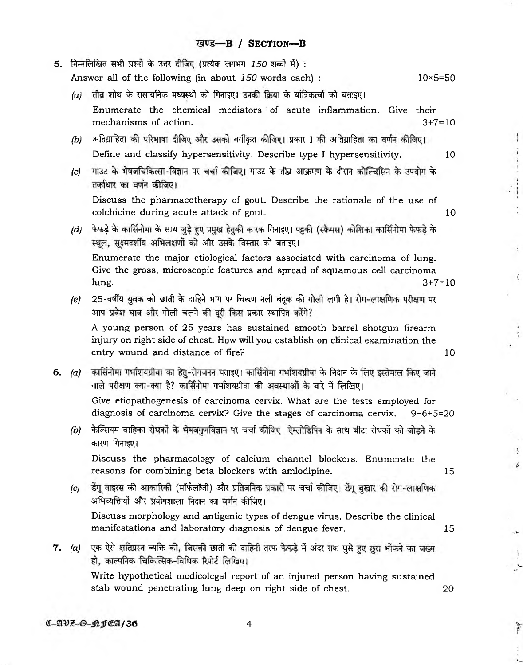$\cdot$ 

 $\frac{1}{2}$ 

 $- - - - -$ 

 $\ddot{\cdot}$ 

 $\hat{\boldsymbol{\beta}}$ 

 $\rightarrow$ 

 $\frac{1}{2}$ 

÷

ò,  $\ddot{\phantom{0}}$ 

 $\frac{1}{\epsilon}$ 

 $\mathcal{A}^{\perp}$ 

 $\frac{1}{2}$ 

ka.

 $\mathbf{r}$  ,  $\mathbf{r}$  ,

| 5. | ोनम्नलिखित सभी प्रश्नों के उत्तर दीजिए (प्रत्येक लगभग 150 शब्दों में) : |                                                                                                                                                                                                        |    |  |
|----|-------------------------------------------------------------------------|--------------------------------------------------------------------------------------------------------------------------------------------------------------------------------------------------------|----|--|
|    |                                                                         | Answer all of the following (in about 150 words each) :<br>$10\times 5 = 50$                                                                                                                           |    |  |
|    | (a)                                                                     | तीव्र शोथ के रासायनिक मध्यस्थों को गिनाइए। उनकी क्रिया के यांत्रिकत्वों को बताइए।                                                                                                                      |    |  |
|    |                                                                         | Enumerate the chemical mediators of acute inflammation. Give their<br>mechanisms of action.<br>$3+7=10$                                                                                                |    |  |
|    | (b)                                                                     | अतिग्राहिता की परिभाषा दीजिए और उसको वर्गीकृत कीजिए। प्रकार I की अतिग्राहिता का वर्णन कीजिए।                                                                                                           |    |  |
|    |                                                                         | Define and classify hypersensitivity. Describe type I hypersensitivity.                                                                                                                                | 10 |  |
|    | (c)                                                                     | गाउट के भेषजचिकित्सा-विज्ञान पर चर्चा कीजिए। गाउट के तीव्र आक्रमण के दौरान कोल्चिसिन के उपयोग के<br>तर्काधार का वर्णन कीजिए।                                                                           |    |  |
|    |                                                                         | Discuss the pharmacotherapy of gout. Describe the rationale of the use of<br>colchicine during acute attack of gout.                                                                                   | 10 |  |
|    | (d)                                                                     | फेफड़े के कार्सिनोमा के साथ जुड़े हुए प्रमुख हेतुकी कारक गिनाइए। पट्टकी (स्क्रैमस) कोशिका कार्सिनोमा फेफड़े के<br>स्थूल, सूक्ष्मदर्शीय अभिलक्षणों को और उसके विस्तार को बताइए।                         |    |  |
|    |                                                                         | Enumerate the major etiological factors associated with carcinoma of lung.<br>Give the gross, microscopic features and spread of squamous cell carcinoma<br>$3+7=10$<br>lung.                          |    |  |
|    | (e)                                                                     | 25-वर्षीय युवक को छाती के दाहिने भाग पर चिक्कण नली बंदूक की गोली लगी है। रोग-लाक्षणिक परीक्षण पर<br>आप प्रवेश घाव और गोली चलने की दूरी किस प्रकार स्थापित करेंगे?                                      |    |  |
|    |                                                                         | A young person of 25 years has sustained smooth barrel shotgun firearm<br>injury on right side of chest. How will you establish on clinical examination the<br>entry wound and distance of fire?<br>10 |    |  |
| б. |                                                                         | (a)   कार्सिनोमा गर्भाशयग्रीवा का हेतु-रोगजनन बताइए। कार्सिनोमा गर्भाशयग्रीवा के निदान के लिए इस्तेमाल किए जाने<br>वाले परीक्षण क्या-क्या हैं? कार्सिनोमा गर्भाशयग्रीवा की अवस्थाओं के बारे में लिखिए। |    |  |
|    |                                                                         | Give etiopathogenesis of carcinoma cervix. What are the tests employed for<br>diagnosis of carcinoma cervix? Give the stages of carcinoma cervix.<br>$9+6+5=20$                                        |    |  |
|    | (b)                                                                     | कैल्सियम वाहिका रोधकों के भेषजगुणविज्ञान पर चर्चा कीजिए। ऐम्लोडिपिन के साथ बीटा रोधकों को जोड़ने के<br>कारण गिनाइए।                                                                                    |    |  |
|    |                                                                         | Discuss the pharmacology of calcium channel blockers. Enumerate the<br>reasons for combining beta blockers with amlodipine.<br>15                                                                      |    |  |
|    | (c)                                                                     | डेंगू वाइरस की आकारिकी (मॉर्फलॉजी) और प्रतिजनिक प्रकारों पर चर्चा कीजिए। डेंगू बुखार की रोग-लाक्षणिक<br>अभिव्यक्तियों और प्रयोगशाला निदान का वर्णन कीजिए।                                              |    |  |
|    |                                                                         | Discuss morphology and antigenic types of dengue virus. Describe the clinical<br>manifestations and laboratory diagnosis of dengue fever.<br>15                                                        |    |  |
|    |                                                                         | 7. (a) एक ऐसे क्षतिग्रस्त व्यक्ति की, जिसकी छाती की दाहिनी तरफ फेफड़े में अंदर तक घुसे हुए छुरा भोंकने का जख्म<br>हो, काल्पनिक चिकित्सिक-विधिक रिपोर्ट लिखिए।                                          |    |  |
|    |                                                                         | Write hypothetical medicolegal report of an injured person having sustained<br>stab wound penetrating lung deep on right side of chest.<br>20                                                          |    |  |
|    |                                                                         |                                                                                                                                                                                                        |    |  |

 $C-AVZ - P_1ICA/36$  4